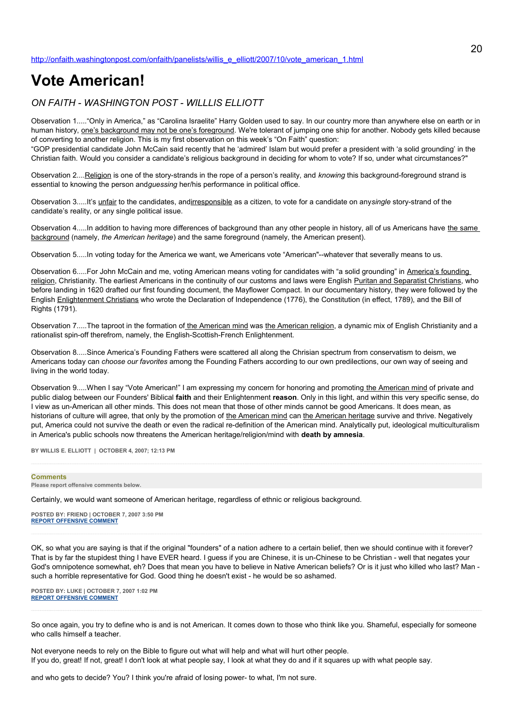# **Vote American!**

# *ON FAITH - WASHINGTON POST - WILLLIS ELLIOTT*

Observation 1....."Only in America," as "Carolina Israelite" Harry Golden used to say. In our country more than anywhere else on earth or in human history, one's background may not be one's foreground. We're tolerant of jumping one ship for another. Nobody gets killed because of converting to another religion. This is my first observation on this week's "On Faith" question: "GOP presidential candidate John McCain said recently that he 'admired' Islam but would prefer a president with 'a solid grounding' in the

Christian faith. Would you consider a candidate's religious background in deciding for whom to vote? If so, under what circumstances?"

Observation 2....Religion is one of the story-strands in the rope of a person's reality, and *knowing* this background-foreground strand is essential to knowing the person and*guessing* her/his performance in political office.

Observation 3.....It's unfair to the candidates, andirresponsible as a citizen, to vote for a candidate on any*single* story-strand of the candidate's reality, or any single political issue.

Observation 4.....In addition to having more differences of background than any other people in history, all of us Americans have the same background (namely, *the American heritage*) and the same foreground (namely, the American present).

Observation 5.....In voting today for the America we want, we Americans vote "American"--whatever that severally means to us.

Observation 6.....For John McCain and me, voting American means voting for candidates with "a solid grounding" in America's founding religion, Christianity. The earliest Americans in the continuity of our customs and laws were English Puritan and Separatist Christians, who before landing in 1620 drafted our first founding document, the Mayflower Compact. In our documentary history, they were followed by the English Enlightenment Christians who wrote the Declaration of Independence (1776), the Constitution (in effect, 1789), and the Bill of Rights (1791).

Observation 7.....The taproot in the formation of the American mind was the American religion, a dynamic mix of English Christianity and a rationalist spin-off therefrom, namely, the English-Scottish-French Enlightenment.

Observation 8.....Since America's Founding Fathers were scattered all along the Chrisian spectrum from conservatism to deism, we Americans today can *choose our favorites* among the Founding Fathers according to our own predilections, our own way of seeing and living in the world today.

Observation 9.....When I say "Vote American!" I am expressing my concern for honoring and promoting the American mind of private and public dialog between our Founders' Biblical **faith** and their Enlightenment **reason**. Only in this light, and within this very specific sense, do I view as un-American all other minds. This does not mean that those of other minds cannot be good Americans. It does mean, as historians of culture will agree, that only by the promotion of the American mind can the American heritage survive and thrive. Negatively put, America could not survive the death or even the radical re-definition of the American mind. Analytically put, ideological multiculturalism in America's public schools now threatens the American heritage/religion/mind with **death by amnesia**.

**BY WILLIS E. ELLIOTT | OCTOBER 4, 2007; 12:13 PM** 

# **Comments**

**Please report offensive comments below.**

Certainly, we would want someone of American heritage, regardless of ethnic or religious background.

**POSTED BY: FRIEND | OCTOBER 7, 2007 3:50 PM [REPORT OFFENSIVE COMMENT](mailto:blogs@washingtonpost.com?subject=On%20Faith%20Panelists%20Blog%20%20%7C%20%20FRIEND%20%20%7C%20%20Vote%20American!%20%20%7C%20%201477914&body=%0D%0D%0D%0D%0D================%0D?__mode=view%26_type=comment%26id=1477914%26blog_id=618)**

OK, so what you are saying is that if the original "founders" of a nation adhere to a certain belief, then we should continue with it forever? That is by far the stupidest thing I have EVER heard. I guess if you are Chinese, it is un-Chinese to be Christian - well that negates your God's omnipotence somewhat, eh? Does that mean you have to believe in Native American beliefs? Or is it just who killed who last? Man such a horrible representative for God. Good thing he doesn't exist - he would be so ashamed.

**POSTED BY: LUKE | OCTOBER 7, 2007 1:02 PM [REPORT OFFENSIVE COMMENT](mailto:blogs@washingtonpost.com?subject=On%20Faith%20Panelists%20Blog%20%20%7C%20%20Luke%20%20%7C%20%20Vote%20American!%20%20%7C%20%201477590&body=%0D%0D%0D%0D%0D================%0D?__mode=view%26_type=comment%26id=1477590%26blog_id=618)**

So once again, you try to define who is and is not American. It comes down to those who think like you. Shameful, especially for someone who calls himself a teacher.

Not everyone needs to rely on the Bible to figure out what will help and what will hurt other people. If you do, great! If not, great! I don't look at what people say, I look at what they do and if it squares up with what people say.

and who gets to decide? You? I think you're afraid of losing power- to what, I'm not sure.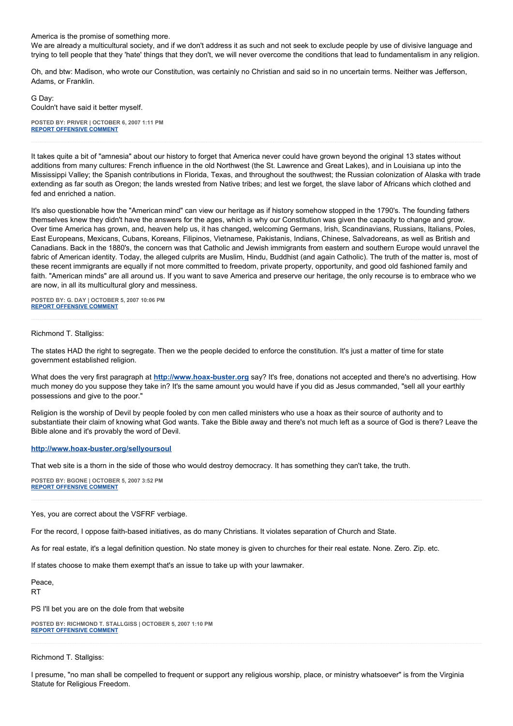#### America is the promise of something more.

We are already a multicultural society, and if we don't address it as such and not seek to exclude people by use of divisive language and trying to tell people that they 'hate' things that they don't, we will never overcome the conditions that lead to fundamentalism in any religion.

Oh, and btw: Madison, who wrote our Constitution, was certainly no Christian and said so in no uncertain terms. Neither was Jefferson, Adams, or Franklin.

G Day: Couldn't have said it better myself.

**POSTED BY: PRIVER | OCTOBER 6, 2007 1:11 PM [REPORT OFFENSIVE COMMENT](mailto:blogs@washingtonpost.com?subject=On%20Faith%20Panelists%20Blog%20%20%7C%20%20Priver%20%20%7C%20%20Vote%20American!%20%20%7C%20%201474352&body=%0D%0D%0D%0D%0D================%0D?__mode=view%26_type=comment%26id=1474352%26blog_id=618)**

It takes quite a bit of "amnesia" about our history to forget that America never could have grown beyond the original 13 states without additions from many cultures: French influence in the old Northwest (the St. Lawrence and Great Lakes), and in Louisiana up into the Mississippi Valley; the Spanish contributions in Florida, Texas, and throughout the southwest; the Russian colonization of Alaska with trade extending as far south as Oregon; the lands wrested from Native tribes; and lest we forget, the slave labor of Africans which clothed and fed and enriched a nation.

It's also questionable how the "American mind" can view our heritage as if history somehow stopped in the 1790's. The founding fathers themselves knew they didn't have the answers for the ages, which is why our Constitution was given the capacity to change and grow. Over time America has grown, and, heaven help us, it has changed, welcoming Germans, Irish, Scandinavians, Russians, Italians, Poles, East Europeans, Mexicans, Cubans, Koreans, Filipinos, Vietnamese, Pakistanis, Indians, Chinese, Salvadoreans, as well as British and Canadians. Back in the 1880's, the concern was that Catholic and Jewish immigrants from eastern and southern Europe would unravel the fabric of American identity. Today, the alleged culprits are Muslim, Hindu, Buddhist (and again Catholic). The truth of the matter is, most of these recent immigrants are equally if not more committed to freedom, private property, opportunity, and good old fashioned family and faith. "American minds" are all around us. If you want to save America and preserve our heritage, the only recourse is to embrace who we are now, in all its multicultural glory and messiness.

**POSTED BY: G. DAY | OCTOBER 5, 2007 10:06 PM [REPORT OFFENSIVE COMMENT](mailto:blogs@washingtonpost.com?subject=On%20Faith%20Panelists%20Blog%20%20%7C%20%20G.%20Day%20%20%7C%20%20Vote%20American!%20%20%7C%20%201472490&body=%0D%0D%0D%0D%0D================%0D?__mode=view%26_type=comment%26id=1472490%26blog_id=618)**

# Richmond T. Stallgiss:

The states HAD the right to segregate. Then we the people decided to enforce the constitution. It's just a matter of time for state government established religion.

What does the very first paragraph at **[http://www.hoax-buster.org](http://www.hoax-buster.org/)** say? It's free, donations not accepted and there's no advertising. How much money do you suppose they take in? It's the same amount you would have if you did as Jesus commanded, "sell all your earthly possessions and give to the poor."

Religion is the worship of Devil by people fooled by con men called ministers who use a hoax as their source of authority and to substantiate their claim of knowing what God wants. Take the Bible away and there's not much left as a source of God is there? Leave the Bible alone and it's provably the word of Devil.

### **<http://www.hoax-buster.org/sellyoursoul>**

That web site is a thorn in the side of those who would destroy democracy. It has something they can't take, the truth.

**POSTED BY: BGONE | OCTOBER 5, 2007 3:52 PM [REPORT OFFENSIVE COMMENT](mailto:blogs@washingtonpost.com?subject=On%20Faith%20Panelists%20Blog%20%20%7C%20%20BGone%20%20%7C%20%20Vote%20American!%20%20%7C%20%201471639&body=%0D%0D%0D%0D%0D================%0D?__mode=view%26_type=comment%26id=1471639%26blog_id=618)**

Yes, you are correct about the VSFRF verbiage.

For the record, I oppose faith-based initiatives, as do many Christians. It violates separation of Church and State.

As for real estate, it's a legal definition question. No state money is given to churches for their real estate. None. Zero. Zip. etc.

If states choose to make them exempt that's an issue to take up with your lawmaker.

Peace, RT

PS I'll bet you are on the dole from that website

**POSTED BY: RICHMOND T. STALLGISS | OCTOBER 5, 2007 1:10 PM [REPORT OFFENSIVE COMMENT](mailto:blogs@washingtonpost.com?subject=On%20Faith%20Panelists%20Blog%20%20%7C%20%20Richmond%20T.%20Stallgiss%20%20%7C%20%20Vote%20American!%20%20%7C%20%201471157&body=%0D%0D%0D%0D%0D================%0D?__mode=view%26_type=comment%26id=1471157%26blog_id=618)**

## Richmond T. Stallgiss:

I presume, "no man shall be compelled to frequent or support any religious worship, place, or ministry whatsoever" is from the Virginia Statute for Religious Freedom.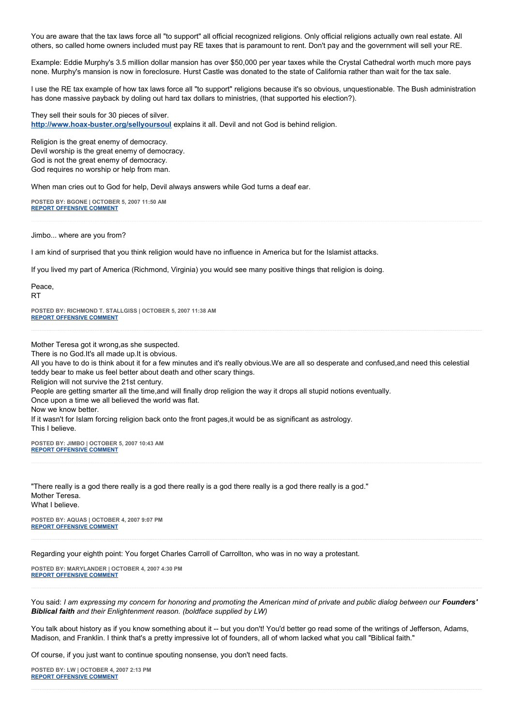You are aware that the tax laws force all "to support" all official recognized religions. Only official religions actually own real estate. All others, so called home owners included must pay RE taxes that is paramount to rent. Don't pay and the government will sell your RE.

Example: Eddie Murphy's 3.5 million dollar mansion has over \$50,000 per year taxes while the Crystal Cathedral worth much more pays none. Murphy's mansion is now in foreclosure. Hurst Castle was donated to the state of California rather than wait for the tax sale.

I use the RE tax example of how tax laws force all "to support" religions because it's so obvious, unquestionable. The Bush administration has done massive payback by doling out hard tax dollars to ministries, (that supported his election?).

They sell their souls for 30 pieces of silver.

**<http://www.hoax-buster.org/sellyoursoul>** explains it all. Devil and not God is behind religion.

Religion is the great enemy of democracy. Devil worship is the great enemy of democracy. God is not the great enemy of democracy. God requires no worship or help from man.

When man cries out to God for help, Devil always answers while God turns a deaf ear.

**POSTED BY: BGONE | OCTOBER 5, 2007 11:50 AM [REPORT OFFENSIVE COMMENT](mailto:blogs@washingtonpost.com?subject=On%20Faith%20Panelists%20Blog%20%20%7C%20%20BGone%20%20%7C%20%20Vote%20American!%20%20%7C%20%201470936&body=%0D%0D%0D%0D%0D================%0D?__mode=view%26_type=comment%26id=1470936%26blog_id=618)**

Jimbo... where are you from?

I am kind of surprised that you think religion would have no influence in America but for the Islamist attacks.

If you lived my part of America (Richmond, Virginia) you would see many positive things that religion is doing.

Peace, RT

**POSTED BY: RICHMOND T. STALLGISS | OCTOBER 5, 2007 11:38 AM [REPORT OFFENSIVE COMMENT](mailto:blogs@washingtonpost.com?subject=On%20Faith%20Panelists%20Blog%20%20%7C%20%20Richmond%20T.%20Stallgiss%20%20%7C%20%20Vote%20American!%20%20%7C%20%201470897&body=%0D%0D%0D%0D%0D================%0D?__mode=view%26_type=comment%26id=1470897%26blog_id=618)**

Mother Teresa got it wrong,as she suspected.

There is no God.It's all made up.It is obvious.

All you have to do is think about it for a few minutes and it's really obvious.We are all so desperate and confused,and need this celestial teddy bear to make us feel better about death and other scary things.

Religion will not survive the 21st century.

People are getting smarter all the time,and will finally drop religion the way it drops all stupid notions eventually.

Once upon a time we all believed the world was flat.

Now we know better.

If it wasn't for Islam forcing religion back onto the front pages,it would be as significant as astrology. This I believe.

**POSTED BY: JIMBO | OCTOBER 5, 2007 10:43 AM [REPORT OFFENSIVE COMMENT](mailto:blogs@washingtonpost.com?subject=On%20Faith%20Panelists%20Blog%20%20%7C%20%20Jimbo%20%20%7C%20%20Vote%20American!%20%20%7C%20%201470692&body=%0D%0D%0D%0D%0D================%0D?__mode=view%26_type=comment%26id=1470692%26blog_id=618)**

"There really is a god there really is a god there really is a god there really is a god there really is a god." Mother Teresa. What I believe.

**POSTED BY: AQUAS | OCTOBER 4, 2007 9:07 PM [REPORT OFFENSIVE COMMENT](mailto:blogs@washingtonpost.com?subject=On%20Faith%20Panelists%20Blog%20%20%7C%20%20aquas%20%20%7C%20%20Vote%20American!%20%20%7C%20%201468879&body=%0D%0D%0D%0D%0D================%0D?__mode=view%26_type=comment%26id=1468879%26blog_id=618)**

Regarding your eighth point: You forget Charles Carroll of Carrollton, who was in no way a protestant.

**POSTED BY: MARYLANDER | OCTOBER 4, 2007 4:30 PM [REPORT OFFENSIVE COMMENT](mailto:blogs@washingtonpost.com?subject=On%20Faith%20Panelists%20Blog%20%20%7C%20%20Marylander%20%20%7C%20%20Vote%20American!%20%20%7C%20%201468290&body=%0D%0D%0D%0D%0D================%0D?__mode=view%26_type=comment%26id=1468290%26blog_id=618)**

You said: *I am expressing my concern for honoring and promoting the American mind of private and public dialog between our Founders' Biblical faith and their Enlightenment reason. (boldface supplied by LW)*

You talk about history as if you know something about it -- but you don't! You'd better go read some of the writings of Jefferson. Adams, Madison, and Franklin. I think that's a pretty impressive lot of founders, all of whom lacked what you call "Biblical faith."

Of course, if you just want to continue spouting nonsense, you don't need facts.

**POSTED BY: LW | OCTOBER 4, 2007 2:13 PM [REPORT OFFENSIVE COMMENT](mailto:blogs@washingtonpost.com?subject=On%20Faith%20Panelists%20Blog%20%20%7C%20%20LW%20%20%7C%20%20Vote%20American!%20%20%7C%20%201468003&body=%0D%0D%0D%0D%0D================%0D?__mode=view%26_type=comment%26id=1468003%26blog_id=618)**